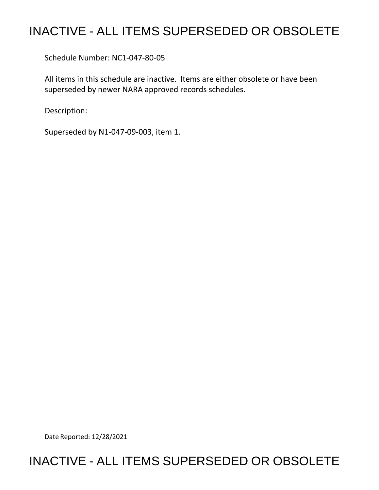# INACTIVE - ALL ITEMS SUPERSEDED OR OBSOLETE

Schedule Number: NC1-047-80-05

All items in this schedule are inactive. Items are either obsolete or have been superseded by newer NARA approved records schedules.

Description:

Superseded by N1-047-09-003, item 1.

Date Reported: 12/28/2021

## INACTIVE - ALL ITEMS SUPERSEDED OR OBSOLETE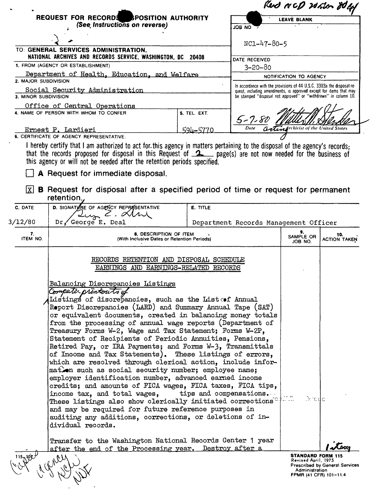|                                                                          |                                                                                                                                                                                                                                                                                                                                                                                                                                                                                                                                                                                                                                                                                                                                                                                                                                                                                                                                                                                                                  |                                                                                                                                       |                                       | Rud NCP 20 htm 80 kg       |                            |  |
|--------------------------------------------------------------------------|------------------------------------------------------------------------------------------------------------------------------------------------------------------------------------------------------------------------------------------------------------------------------------------------------------------------------------------------------------------------------------------------------------------------------------------------------------------------------------------------------------------------------------------------------------------------------------------------------------------------------------------------------------------------------------------------------------------------------------------------------------------------------------------------------------------------------------------------------------------------------------------------------------------------------------------------------------------------------------------------------------------|---------------------------------------------------------------------------------------------------------------------------------------|---------------------------------------|----------------------------|----------------------------|--|
| REQUEST FOR RECORDS SPOSITION AUTHORITY<br>(See Instructions on reverse) |                                                                                                                                                                                                                                                                                                                                                                                                                                                                                                                                                                                                                                                                                                                                                                                                                                                                                                                                                                                                                  |                                                                                                                                       | <b>LEAVE BLANK</b>                    |                            |                            |  |
|                                                                          |                                                                                                                                                                                                                                                                                                                                                                                                                                                                                                                                                                                                                                                                                                                                                                                                                                                                                                                                                                                                                  |                                                                                                                                       | JOB NO T                              |                            |                            |  |
|                                                                          |                                                                                                                                                                                                                                                                                                                                                                                                                                                                                                                                                                                                                                                                                                                                                                                                                                                                                                                                                                                                                  | $NC1 - 47 - 80 - 5$                                                                                                                   |                                       |                            |                            |  |
|                                                                          | TO: GENERAL SERVICES ADMINISTRATION,                                                                                                                                                                                                                                                                                                                                                                                                                                                                                                                                                                                                                                                                                                                                                                                                                                                                                                                                                                             |                                                                                                                                       |                                       |                            |                            |  |
|                                                                          | NATIONAL ARCHIVES AND RECORDS SERVICE, WASHINGTON, DC 20408<br>1. FROM (AGENCY OR ESTABLISHMENT)                                                                                                                                                                                                                                                                                                                                                                                                                                                                                                                                                                                                                                                                                                                                                                                                                                                                                                                 | DATE RECEIVED                                                                                                                         |                                       |                            |                            |  |
|                                                                          | Department of Health, Education, and Welfare                                                                                                                                                                                                                                                                                                                                                                                                                                                                                                                                                                                                                                                                                                                                                                                                                                                                                                                                                                     | $3 - 20 - 80$<br>NOTIFICATION TO AGENCY                                                                                               |                                       |                            |                            |  |
| 2. MAJOR SUBDIVISION                                                     |                                                                                                                                                                                                                                                                                                                                                                                                                                                                                                                                                                                                                                                                                                                                                                                                                                                                                                                                                                                                                  | In accordance with the provisions of 44 U.S.C. 3303a the disposal re-                                                                 |                                       |                            |                            |  |
| 3. MINOR SUBDIVISION                                                     | Social Security Administration                                                                                                                                                                                                                                                                                                                                                                                                                                                                                                                                                                                                                                                                                                                                                                                                                                                                                                                                                                                   | quest, including amendments, is approved except for items that may<br>be stamped "disposal not approved" or "withdrawn" in column 10. |                                       |                            |                            |  |
|                                                                          | Office of Central Operations                                                                                                                                                                                                                                                                                                                                                                                                                                                                                                                                                                                                                                                                                                                                                                                                                                                                                                                                                                                     |                                                                                                                                       |                                       |                            |                            |  |
|                                                                          | 4. NAME OF PERSON WITH WHOM TO CONFER                                                                                                                                                                                                                                                                                                                                                                                                                                                                                                                                                                                                                                                                                                                                                                                                                                                                                                                                                                            | 5. TEL. EXT.                                                                                                                          |                                       |                            |                            |  |
|                                                                          |                                                                                                                                                                                                                                                                                                                                                                                                                                                                                                                                                                                                                                                                                                                                                                                                                                                                                                                                                                                                                  |                                                                                                                                       | $5 - 7 - 8i$                          |                            |                            |  |
|                                                                          | Ernest P. Lardieri<br>6. CERTIFICATE OF AGENCY REPRESENTATIVE.                                                                                                                                                                                                                                                                                                                                                                                                                                                                                                                                                                                                                                                                                                                                                                                                                                                                                                                                                   | <u>594–5770</u>                                                                                                                       | Date                                  | lrchivist of the           |                            |  |
| lxl                                                                      | this agency or will not be needed after the retention periods specified.<br>A Request for immediate disposal.<br><b>B</b> Request for disposal after a specified period of time or request for permanent<br>retention.                                                                                                                                                                                                                                                                                                                                                                                                                                                                                                                                                                                                                                                                                                                                                                                           |                                                                                                                                       |                                       |                            |                            |  |
| C. DATE                                                                  | D. SIGNATIONE OF AGENCY REPRESENTATIVE                                                                                                                                                                                                                                                                                                                                                                                                                                                                                                                                                                                                                                                                                                                                                                                                                                                                                                                                                                           | <b>E. TITLE</b>                                                                                                                       |                                       |                            |                            |  |
|                                                                          | Luz 2. Alm                                                                                                                                                                                                                                                                                                                                                                                                                                                                                                                                                                                                                                                                                                                                                                                                                                                                                                                                                                                                       |                                                                                                                                       |                                       |                            |                            |  |
| 3/12/80                                                                  | Dr. George E. Deal                                                                                                                                                                                                                                                                                                                                                                                                                                                                                                                                                                                                                                                                                                                                                                                                                                                                                                                                                                                               |                                                                                                                                       |                                       |                            |                            |  |
|                                                                          |                                                                                                                                                                                                                                                                                                                                                                                                                                                                                                                                                                                                                                                                                                                                                                                                                                                                                                                                                                                                                  |                                                                                                                                       | Department Records Management Officer |                            |                            |  |
| 7.                                                                       | 8. DESCRIPTION OF ITEM<br>(With Inclusive Dates or Retention Periods)<br>RECORDS RETENTION AND DISPOSAL SCHEDULE                                                                                                                                                                                                                                                                                                                                                                                                                                                                                                                                                                                                                                                                                                                                                                                                                                                                                                 |                                                                                                                                       |                                       | 9.<br>SAMPLE OR<br>JOB NO. | 10.<br><b>ACTION TAKEN</b> |  |
| ITEM NO.                                                                 | EARNINGS AND EARNINGS-RELATED RECORDS<br>Balancing Discrepancies Listings<br>Computer printouts of<br>Listings of discrepancies, such as the List of Annual<br>Roport Discrepancies (LARD) and Summary Annual Tape (SAT)<br>or equivalent documents, created in balancing money totals<br>from the processing of annual wage reports (Department of<br>Treasury Forms W-2, Wage and Tax Statement; Forms W-2P,<br>Statement of Recipients of Periodic Annuities, Pensions,<br>Retired Pay, or IRA Payments; and Forms W-3, Transmittals<br>of Income and Tax Statements). These listings of errors,<br>which are resolved through clerical action, include infor-<br>mation such as social security number; employee name;<br>employer identification number, advanced earned income<br>credits; and amounts of FICA wages, FICA taxes, FICA tips,<br>income tax, and total wages,<br>These listings also show clerically initiated corrections $^\circ$<br>and may be required for future reference purposes in |                                                                                                                                       | tips and compensations.               | $5-c4c$                    |                            |  |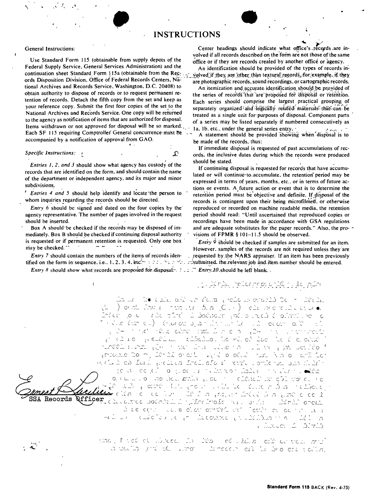### **INSTRUCTIONS**

₽

#### **General Instructions:**

Use Standard Form 115 (obtainable from supply depots of the Federal Supply Service, General Services Administration) and the continuation sheet Standard Form 115a (obtainable from the Reg. ords Disposition Division, Office of Federal Records Centers, National Archives and Records Service, Washington, D.C. 20408) to obtain authority to dispose of records or to request permanent retention of records. Detach the fifth copy from the set and keep as your reference copy. Submit the first four copies of the set to the National Archives and Records Service. One copy will be returned to the agency as notification of items that are authorized for disposal. Items withdrawn or not approved for disposal will be so marked. Each SF 115 requiring Comptroller General concurrence must be accompanied by a notification of approval from GAO.

#### Specific Instructions: +

Entries 1, 2, and 3 should show what agency has custody of the records that are identified on the form, and should contain the name of the department or independent agency, and its major and minor subdivisions.

Entries 4 and 5 should help identify and locate the person to whom inquiries regarding the records should be directed.

Entry 6 should be signed and dated on the four copies by the agency representative. The number of pages involved in the request should be inserted.

Box A should be checked if the records may be disposed of immediately. Box B should be checked if continuing disposal authority is requested or if permanent retention is requested. Only one box may be checked.

Entry 7 should contain the numbers of the items of records iden-

*Entry 8* should show what records are proposed for disposal.  $\therefore$   $\therefore$  *Entry 10* should be left blank.

Center headings should indicate what office's records are involved if all records described on the form are not those of the same office or if they are records created by another office or agency.

An identification should be provided of the types of records involved if they are other than textural records for example, if they are photographic records, sound recordings, or cartographic records.

An itemization and accurate identification should be provided of the series of records that are proposed for disposal or retention. Each series should comprise the largest practical grouping of separately organized and logically related materials that can be treated as a single unit for purposes of disposal. Component parts of a series may be listed separately if numbered consecutively as 1a, 1b, etc., under the general series entry. -

A statement should be provided showing when disposal is to be made of the records, thus:

If immediate disposal is requested of past accumulations of records, the inclusive dates during which the records were produced should be stated.

If continuing disposal is requested for records that have accumulated or will continue to accumulate, the retention period may be expressed in terms of years, months, etc., or in terms of future actions or events. A future action or event that is to determine the retention period must be objective and definite. If disposal of the records is contingent upon their being microfilmed, or otherwise reproduced or recorded on machine readable media, the retention period should read: "Until ascertained that reproduced copies or recordings have been made in accordance with GSA regulations and are adequate substitutes for the paper records." Also, the provisions of FPMR § 101-11.5 should be observed.

*Entry*  $\dot{9}$  should be checked if samples are submitted for an item. However, samples of the records are not required unless they are requested by the NARS appraiser. If an item has been previously

### مترم إلاء إلى لِكِثْرَ بِالإم مِنْ مِنْكَبِرَ اللَّهِ مِنْ الْمَرْحَمَةِ الْمَرْحَمَةِ إِلَى الْمَرْ

a la ciudad de la forma e de la cronición de la integración ) de di l'artit in statistic di all'Olivia (Clivia) i ciù a accide la struccion n die Europij deur de bylantine word is doe eerste leid light in the first leaders in that Diving a single in the statement theories  $\left[\begin{array}{ccc} \overline{\phantom{a}} & \overline{\phantom{a}} & \overline{\phantom{a}} & \overline{\phantom{a}} & \overline{\phantom{a}} & \overline{\phantom{a}} & \overline{\phantom{a}} & \overline{\phantom{a}} & \overline{\phantom{a}} & \overline{\phantom{a}} & \overline{\phantom{a}} & \overline{\phantom{a}} & \overline{\phantom{a}} & \overline{\phantom{a}} & \overline{\phantom{a}} & \overline{\phantom{a}} & \overline{\phantom{a}} & \overline{\phantom{a}} & \overline{\phantom{a}} & \overline{\phantom{a}} & \overline{\phantom{a}} & \$ lošče u predstavanje u stanovnika i koja i u koju se predstavanje u koja su predstavanje u koja su pr sia de la construcción de la cidad de la contrada de la cidad زه (ه ده ره) و (ر ه) از است کندگان (مختلف از استفاده) و استفاده استفاده از استفاده استفاده از استفاده di contra la condiccionation de la contra citata di concentra is the point of the property of the filling in Sec. 1993. Accelera de la política de la proposición de la proposición de la proposición de la proposición de la proposic<br>Africa distritor de la proposición de la proposición de la proposición de la proposición de la proposición de Records à le contra color o compristante de la contra de s ເມີດ ເຊິ່ງ ເຊິ່ງ ເຊິ່ງ ເຊິ່ງ ເຊິ່ງ ເຊິ່ງ ເຊິ່ງ ເຊິ່ງ ເຊິ່ງ ເຊິ່ງ ເຊິ່ງ ເຊິ່ງ ເຊິ່ງ ເຊິ່ງ ເຊິ່ງ ເຊິ່ງ ເຊິ່ງ ເຊິ ist is —ı ∴ . Ducco 5. T. S

> tipo , hit do de librede. La listo l i od zialka i osličnog stoluk antr la politica (chi dell'Istrati Eundear dit is bro die selle.